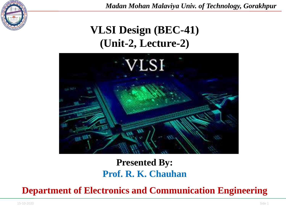

## **VLSI Design (BEC-41) (Unit-2, Lecture-2)**



### **Presented By: Prof. R. K. Chauhan**

**Department of Electronics and Communication Engineering**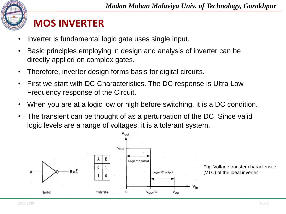

## **MOS INVERTER**

- Inverter is fundamental logic gate uses single input.
- Basic principles employing in design and analysis of inverter can be directly applied on complex gates.
- Therefore, inverter design forms basis for digital circuits.
- First we start with DC Characteristics. The DC response is Ultra Low Frequency response of the Circuit.
- When you are at a logic low or high before switching, it is a DC condition.
- The transient can be thought of as a perturbation of the DC Since valid logic levels are a range of voltages, it is a tolerant system.

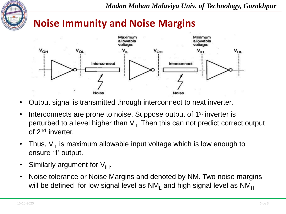

### **Noise Immunity and Noise Margins**



- Output signal is transmitted through interconnect to next inverter.
- Interconnects are prone to noise. Suppose output of 1<sup>st</sup> inverter is perturbed to a level higher than  $\mathsf{V}_{\mathsf{IL}}$  Then this can not predict correct output of 2<sup>nd</sup> inverter.
- Thus,  $V_{II}$  is maximum allowable input voltage which is low enough to ensure '1' output.
- Similarly argument for  $V_{\text{H}}$ .
- Noise tolerance or Noise Margins and denoted by NM. Two noise margins will be defined for low signal level as  $NM<sub>1</sub>$  and high signal level as  $NM<sub>H</sub>$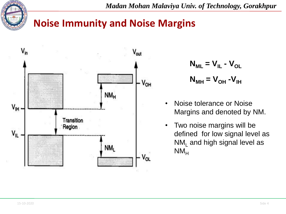

### **Noise Immunity and Noise Margins**



$$
N_{ML} = V_{IL} - V_{OL}
$$

$$
N_{MH} = V_{OH} - V_{IH}
$$

- Noise tolerance or Noise Margins and denoted by NM.
- Two noise margins will be defined for low signal level as  $NM<sub>l</sub>$  and high signal level as  $NM<sub>H</sub>$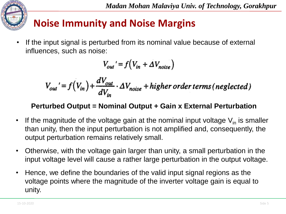

# **Noise Immunity and Noise Margins**

• If the input signal is perturbed from its nominal value because of external influences, such as noise:

$$
V_{out}' = f(V_{in} + \Delta V_{noise})
$$

$$
V_{out}' = f(V_{in}) + \frac{dV_{out}}{dV_{in}} \cdot \Delta V_{noise} + higher order terms (neglected)
$$

#### **Perturbed Output = Nominal Output + Gain x External Perturbation**

- If the magnitude of the voltage gain at the nominal input voltage  $V_{in}$  is smaller than unity, then the input perturbation is not amplified and, consequently, the output perturbation remains relatively small.
- Otherwise, with the voltage gain larger than unity, a small perturbation in the input voltage level will cause a rather large perturbation in the output voltage.
- Hence, we define the boundaries of the valid input signal regions as the voltage points where the magnitude of the inverter voltage gain is equal to unity.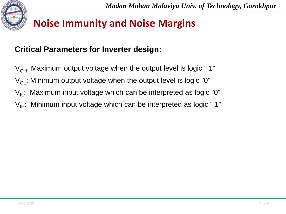

## **Noise Immunity and Noise Margins**

#### **Critical Parameters for Inverter design:**

- $V_{OH}$ : Maximum output voltage when the output level is logic "1"
- $V_{\text{OL}}$ : Minimum output voltage when the output level is logic "0"
- $V_{II}$ : Maximum input voltage which can be interpreted as logic "0"
- $V_{\text{H}}$ : Minimum input voltage which can be interpreted as logic "1"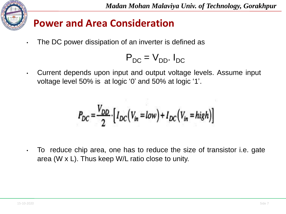

### **Power and Area Consideration**

The DC power dissipation of an inverter is defined as

$$
\mathsf{P}_{\mathsf{DC}} = \mathsf{V}_{\mathsf{DD}}.\,\mathsf{I}_{\mathsf{DC}}
$$

• Current depends upon input and output voltage levels. Assume input voltage level 50% is at logic '0' and 50% at logic '1'.

$$
P_{DC} = \frac{V_{DD}}{2} \cdot \Big[ I_{DC} \Big( V_{in} = low \Big) + I_{DC} \Big( V_{in} = high \Big) \Big]
$$

• To reduce chip area, one has to reduce the size of transistor i.e. gate area (W x L). Thus keep W/L ratio close to unity.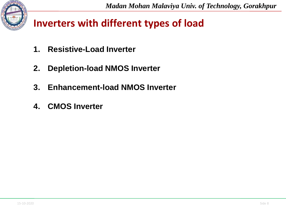

## **Inverters with different types of load**

- **1. Resistive-Load Inverter**
- **2. Depletion-load NMOS Inverter**
- **3. Enhancement-load NMOS Inverter**
- **4. CMOS Inverter**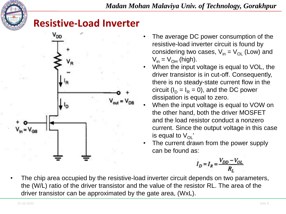

### **Resistive-Load Inverter**



- The average DC power consumption of the resistive-load inverter circuit is found by considering two cases,  $V_{in} = V_{OL}$  (Low) and  $V_{in} = V_{OH}$  (high).
- When the input voltage is equal to VOL, the driver transistor is in cut-off. Consequently, there is no steady-state current flow in the circuit ( $I_D = I_R = 0$ ), and the DC power dissipation is equal to zero.
- When the input voltage is equal to VOW on the other hand, both the driver MOSFET and the load resistor conduct a nonzero current. Since the output voltage in this case is equal to  $V_{\Omega}$ '
- The current drawn from the power supply can be found as:

$$
I_D = I_R = \frac{V_{DD} - V_{OL}}{R_L}
$$

The chip area occupied by the resistive-load inverter circuit depends on two parameters, the (W/L) ratio of the driver transistor and the value of the resistor RL. The area of the driver transistor can be approximated by the gate area, (WxL).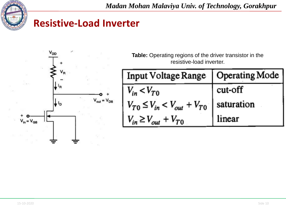

### **Resistive-Load Inverter**



**Table:** Operating regions of the driver transistor in the resistive-load inverter.

| Input Voltage Range   Operating Mode               |         |
|----------------------------------------------------|---------|
| $V_{in}$ < $V_{T0}$                                | cut-off |
| $V_{T0} \leq V_{in} < V_{out} + V_{T0}$ saturation |         |
| $V_{in} \geq V_{out} + V_{TO}$                     | linear  |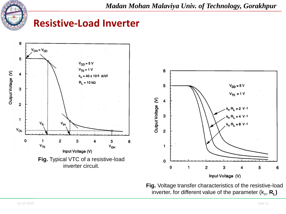

### **Resistive-Load Inverter**



**Fig.** Voltage transfer characteristics of the resistive-load inverter, for different value of the parameter  $(k_{\sf n},\, {\sf R}_{\sf L})$ 

6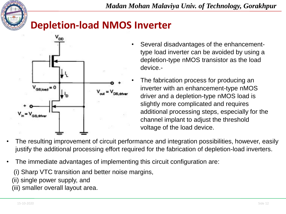

## **Depletion-load NMOS Inverter**



- Several disadvantages of the enhancementtype load inverter can be avoided by using a depletion-type nMOS transistor as the load device.-
- The fabrication process for producing an inverter with an enhancement-type nMOS driver and a depletion-type nMOS load is slightly more complicated and requires additional processing steps, especially for the channel implant to adjust the threshold voltage of the load device.
- The resulting improvement of circuit performance and integration possibilities, however, easily justify the additional processing effort required for the fabrication of depletion-load inverters.
- The immediate advantages of implementing this circuit configuration are:

(i) Sharp VTC transition and better noise margins,

(ii) single power supply, and

(iii) smaller overall layout area.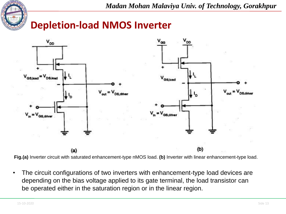

## **Depletion-load NMOS Inverter**



**Fig.(a)** Inverter circuit with saturated enhancement-type nMOS load. **(b)** Inverter with linear enhancement-type load.

• The circuit configurations of two inverters with enhancement-type load devices are depending on the bias voltage applied to its gate terminal, the load transistor can be operated either in the saturation region or in the linear region.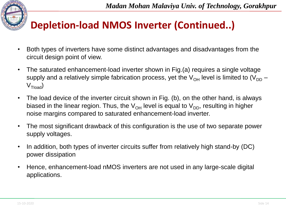# **Depletion-load NMOS Inverter (Continued..)**

- Both types of inverters have some distinct advantages and disadvantages from the circuit design point of view.
- The saturated enhancement-load inverter shown in Fig.(a) requires a single voltage supply and a relatively simple fabrication process, yet the  $V_{OH}$  level is limited to  $(V_{DD} V_{\text{Tload}}$
- The load device of the inverter circuit shown in Fig. (b), on the other hand, is always biased in the linear region. Thus, the  $V_{OH}$  level is equal to  $V_{DD}$ , resulting in higher noise margins compared to saturated enhancement-load inverter.
- The most significant drawback of this configuration is the use of two separate power supply voltages.
- In addition, both types of inverter circuits suffer from relatively high stand-by (DC) power dissipation
- Hence, enhancement-load nMOS inverters are not used in any large-scale digital applications.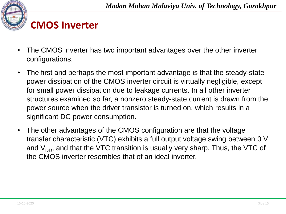

## **CMOS Inverter**

- The CMOS inverter has two important advantages over the other inverter configurations:
- The first and perhaps the most important advantage is that the steady-state power dissipation of the CMOS inverter circuit is virtually negligible, except for small power dissipation due to leakage currents. In all other inverter structures examined so far, a nonzero steady-state current is drawn from the power source when the driver transistor is turned on, which results in a significant DC power consumption.
- The other advantages of the CMOS configuration are that the voltage transfer characteristic (VTC) exhibits a full output voltage swing between 0 V and  $V_{DD}$ , and that the VTC transition is usually very sharp. Thus, the VTC of the CMOS inverter resembles that of an ideal inverter.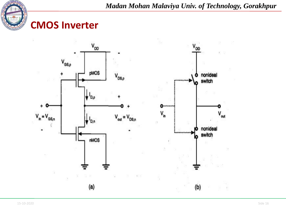

### **CMOS Inverter**